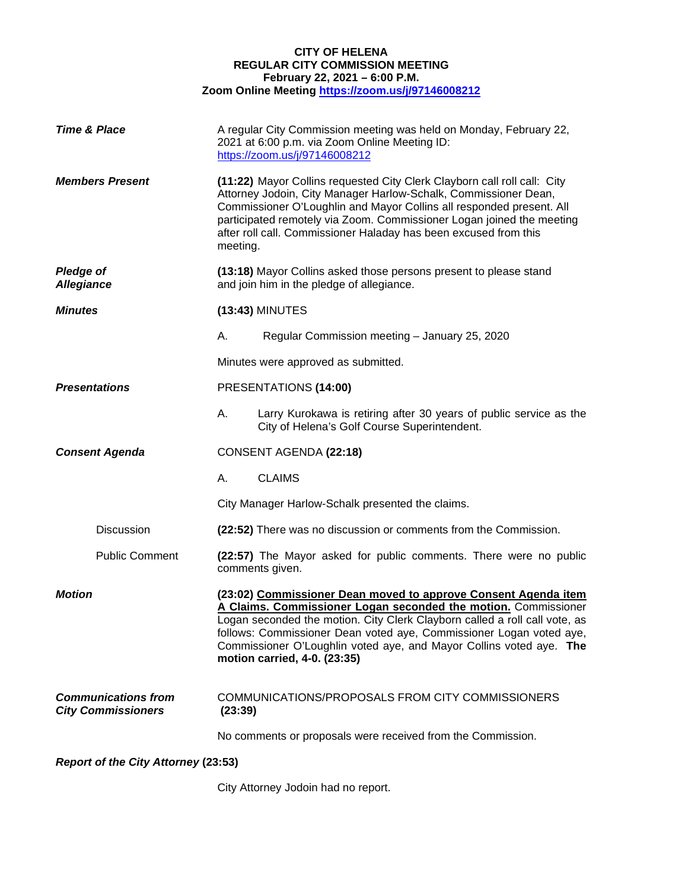## **CITY OF HELENA REGULAR CITY COMMISSION MEETING February 22, 2021 – 6:00 P.M. Zoom Online Meeting <https://zoom.us/j/97146008212>**

| <b>Time &amp; Place</b>                                 |                                                                                                                                                                                                                                                                                                                                                                                              | A regular City Commission meeting was held on Monday, February 22,<br>2021 at 6:00 p.m. via Zoom Online Meeting ID:<br>https://zoom.us/j/97146008212 |
|---------------------------------------------------------|----------------------------------------------------------------------------------------------------------------------------------------------------------------------------------------------------------------------------------------------------------------------------------------------------------------------------------------------------------------------------------------------|------------------------------------------------------------------------------------------------------------------------------------------------------|
| <b>Members Present</b>                                  | (11:22) Mayor Collins requested City Clerk Clayborn call roll call: City<br>Attorney Jodoin, City Manager Harlow-Schalk, Commissioner Dean,<br>Commissioner O'Loughlin and Mayor Collins all responded present. All<br>participated remotely via Zoom. Commissioner Logan joined the meeting<br>after roll call. Commissioner Haladay has been excused from this<br>meeting.                 |                                                                                                                                                      |
| <b>Pledge of</b><br><b>Allegiance</b>                   |                                                                                                                                                                                                                                                                                                                                                                                              | (13:18) Mayor Collins asked those persons present to please stand<br>and join him in the pledge of allegiance.                                       |
| <b>Minutes</b>                                          | (13:43) MINUTES                                                                                                                                                                                                                                                                                                                                                                              |                                                                                                                                                      |
|                                                         | А.                                                                                                                                                                                                                                                                                                                                                                                           | Regular Commission meeting - January 25, 2020                                                                                                        |
|                                                         |                                                                                                                                                                                                                                                                                                                                                                                              | Minutes were approved as submitted.                                                                                                                  |
| <b>Presentations</b>                                    |                                                                                                                                                                                                                                                                                                                                                                                              | PRESENTATIONS (14:00)                                                                                                                                |
|                                                         | А.                                                                                                                                                                                                                                                                                                                                                                                           | Larry Kurokawa is retiring after 30 years of public service as the<br>City of Helena's Golf Course Superintendent.                                   |
| <b>Consent Agenda</b>                                   | CONSENT AGENDA (22:18)                                                                                                                                                                                                                                                                                                                                                                       |                                                                                                                                                      |
|                                                         | А.                                                                                                                                                                                                                                                                                                                                                                                           | <b>CLAIMS</b>                                                                                                                                        |
|                                                         |                                                                                                                                                                                                                                                                                                                                                                                              | City Manager Harlow-Schalk presented the claims.                                                                                                     |
| Discussion                                              |                                                                                                                                                                                                                                                                                                                                                                                              | (22:52) There was no discussion or comments from the Commission.                                                                                     |
| <b>Public Comment</b>                                   |                                                                                                                                                                                                                                                                                                                                                                                              | (22:57) The Mayor asked for public comments. There were no public<br>comments given.                                                                 |
| <b>Motion</b>                                           | (23:02) Commissioner Dean moved to approve Consent Agenda item<br>A Claims. Commissioner Logan seconded the motion. Commissioner<br>Logan seconded the motion. City Clerk Clayborn called a roll call vote, as<br>follows: Commissioner Dean voted aye, Commissioner Logan voted aye,<br>Commissioner O'Loughlin voted aye, and Mayor Collins voted aye. The<br>motion carried, 4-0. (23:35) |                                                                                                                                                      |
| <b>Communications from</b><br><b>City Commissioners</b> | COMMUNICATIONS/PROPOSALS FROM CITY COMMISSIONERS<br>(23:39)                                                                                                                                                                                                                                                                                                                                  |                                                                                                                                                      |
|                                                         |                                                                                                                                                                                                                                                                                                                                                                                              | No comments or proposals were received from the Commission.                                                                                          |
| <b>Report of the City Attorney (23:53)</b>              |                                                                                                                                                                                                                                                                                                                                                                                              |                                                                                                                                                      |

City Attorney Jodoin had no report.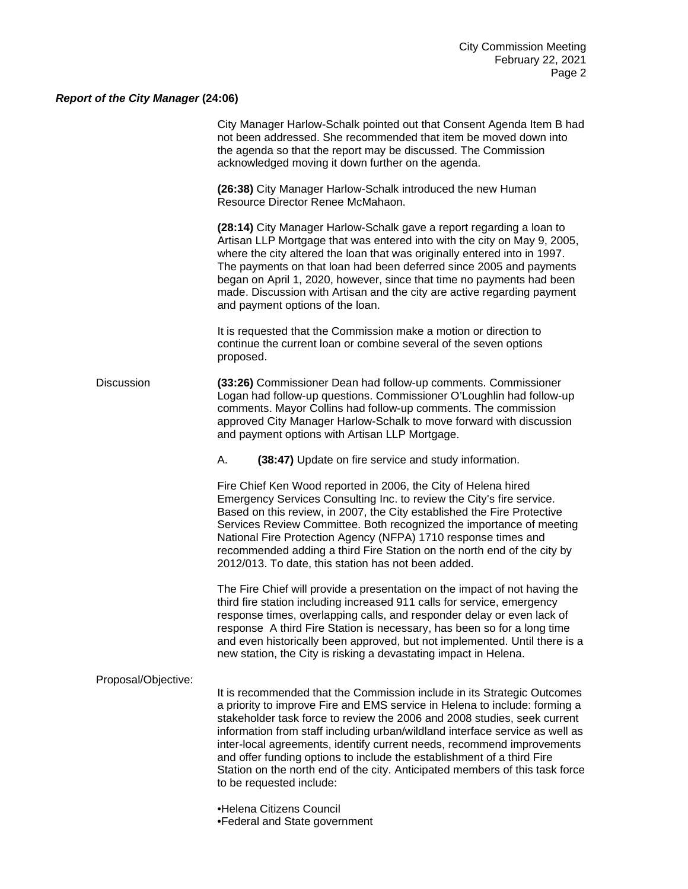## *Report of the City Manager* **(24:06)**

|                     | City Manager Harlow-Schalk pointed out that Consent Agenda Item B had<br>not been addressed. She recommended that item be moved down into<br>the agenda so that the report may be discussed. The Commission<br>acknowledged moving it down further on the agenda.                                                                                                                                                                                                                                                                                                                 |
|---------------------|-----------------------------------------------------------------------------------------------------------------------------------------------------------------------------------------------------------------------------------------------------------------------------------------------------------------------------------------------------------------------------------------------------------------------------------------------------------------------------------------------------------------------------------------------------------------------------------|
|                     | (26:38) City Manager Harlow-Schalk introduced the new Human<br>Resource Director Renee McMahaon.                                                                                                                                                                                                                                                                                                                                                                                                                                                                                  |
|                     | (28:14) City Manager Harlow-Schalk gave a report regarding a loan to<br>Artisan LLP Mortgage that was entered into with the city on May 9, 2005,<br>where the city altered the loan that was originally entered into in 1997.<br>The payments on that loan had been deferred since 2005 and payments<br>began on April 1, 2020, however, since that time no payments had been<br>made. Discussion with Artisan and the city are active regarding payment<br>and payment options of the loan.                                                                                      |
|                     | It is requested that the Commission make a motion or direction to<br>continue the current loan or combine several of the seven options<br>proposed.                                                                                                                                                                                                                                                                                                                                                                                                                               |
| <b>Discussion</b>   | (33:26) Commissioner Dean had follow-up comments. Commissioner<br>Logan had follow-up questions. Commissioner O'Loughlin had follow-up<br>comments. Mayor Collins had follow-up comments. The commission<br>approved City Manager Harlow-Schalk to move forward with discussion<br>and payment options with Artisan LLP Mortgage.                                                                                                                                                                                                                                                 |
|                     | (38:47) Update on fire service and study information.<br>А.                                                                                                                                                                                                                                                                                                                                                                                                                                                                                                                       |
|                     | Fire Chief Ken Wood reported in 2006, the City of Helena hired<br>Emergency Services Consulting Inc. to review the City's fire service.<br>Based on this review, in 2007, the City established the Fire Protective<br>Services Review Committee. Both recognized the importance of meeting<br>National Fire Protection Agency (NFPA) 1710 response times and<br>recommended adding a third Fire Station on the north end of the city by<br>2012/013. To date, this station has not been added.                                                                                    |
|                     | The Fire Chief will provide a presentation on the impact of not having the<br>third fire station including increased 911 calls for service, emergency<br>response times, overlapping calls, and responder delay or even lack of<br>response A third Fire Station is necessary, has been so for a long time<br>and even historically been approved, but not implemented. Until there is a<br>new station, the City is risking a devastating impact in Helena.                                                                                                                      |
| Proposal/Objective: |                                                                                                                                                                                                                                                                                                                                                                                                                                                                                                                                                                                   |
|                     | It is recommended that the Commission include in its Strategic Outcomes<br>a priority to improve Fire and EMS service in Helena to include: forming a<br>stakeholder task force to review the 2006 and 2008 studies, seek current<br>information from staff including urban/wildland interface service as well as<br>inter-local agreements, identify current needs, recommend improvements<br>and offer funding options to include the establishment of a third Fire<br>Station on the north end of the city. Anticipated members of this task force<br>to be requested include: |
|                     | •Helena Citizens Council<br>•Federal and State government                                                                                                                                                                                                                                                                                                                                                                                                                                                                                                                         |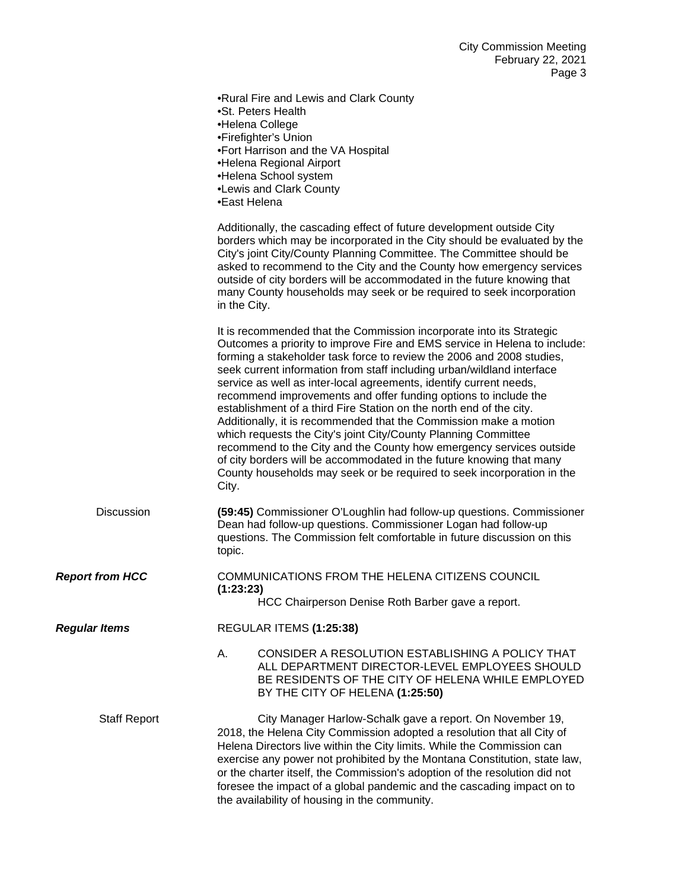|                        | r ay <del>o</del> J                                                                                                                                                                                                                                                                                                                                                                                                                                                                                                                                                                                                                                                                                                                                                                                                                                                                           |
|------------------------|-----------------------------------------------------------------------------------------------------------------------------------------------------------------------------------------------------------------------------------------------------------------------------------------------------------------------------------------------------------------------------------------------------------------------------------------------------------------------------------------------------------------------------------------------------------------------------------------------------------------------------------------------------------------------------------------------------------------------------------------------------------------------------------------------------------------------------------------------------------------------------------------------|
|                        | .Rural Fire and Lewis and Clark County<br>•St. Peters Health<br>•Helena College<br>•Firefighter's Union<br>•Fort Harrison and the VA Hospital<br>•Helena Regional Airport<br>•Helena School system<br>•Lewis and Clark County<br>•East Helena                                                                                                                                                                                                                                                                                                                                                                                                                                                                                                                                                                                                                                                 |
|                        | Additionally, the cascading effect of future development outside City<br>borders which may be incorporated in the City should be evaluated by the<br>City's joint City/County Planning Committee. The Committee should be<br>asked to recommend to the City and the County how emergency services<br>outside of city borders will be accommodated in the future knowing that<br>many County households may seek or be required to seek incorporation<br>in the City.                                                                                                                                                                                                                                                                                                                                                                                                                          |
|                        | It is recommended that the Commission incorporate into its Strategic<br>Outcomes a priority to improve Fire and EMS service in Helena to include:<br>forming a stakeholder task force to review the 2006 and 2008 studies,<br>seek current information from staff including urban/wildland interface<br>service as well as inter-local agreements, identify current needs,<br>recommend improvements and offer funding options to include the<br>establishment of a third Fire Station on the north end of the city.<br>Additionally, it is recommended that the Commission make a motion<br>which requests the City's joint City/County Planning Committee<br>recommend to the City and the County how emergency services outside<br>of city borders will be accommodated in the future knowing that many<br>County households may seek or be required to seek incorporation in the<br>City. |
| <b>Discussion</b>      | (59:45) Commissioner O'Loughlin had follow-up questions. Commissioner<br>Dean had follow-up questions. Commissioner Logan had follow-up<br>questions. The Commission felt comfortable in future discussion on this<br>topic.                                                                                                                                                                                                                                                                                                                                                                                                                                                                                                                                                                                                                                                                  |
| <b>Report from HCC</b> | COMMUNICATIONS FROM THE HELENA CITIZENS COUNCIL<br>(1:23:23)<br>HCC Chairperson Denise Roth Barber gave a report.                                                                                                                                                                                                                                                                                                                                                                                                                                                                                                                                                                                                                                                                                                                                                                             |
| <b>Regular Items</b>   | REGULAR ITEMS (1:25:38)                                                                                                                                                                                                                                                                                                                                                                                                                                                                                                                                                                                                                                                                                                                                                                                                                                                                       |
|                        | А.<br>CONSIDER A RESOLUTION ESTABLISHING A POLICY THAT<br>ALL DEPARTMENT DIRECTOR-LEVEL EMPLOYEES SHOULD<br>BE RESIDENTS OF THE CITY OF HELENA WHILE EMPLOYED<br>BY THE CITY OF HELENA (1:25:50)                                                                                                                                                                                                                                                                                                                                                                                                                                                                                                                                                                                                                                                                                              |
| <b>Staff Report</b>    | City Manager Harlow-Schalk gave a report. On November 19,<br>2018, the Helena City Commission adopted a resolution that all City of<br>Helena Directors live within the City limits. While the Commission can<br>exercise any power not prohibited by the Montana Constitution, state law,<br>or the charter itself, the Commission's adoption of the resolution did not<br>foresee the impact of a global pandemic and the cascading impact on to<br>the availability of housing in the community.                                                                                                                                                                                                                                                                                                                                                                                           |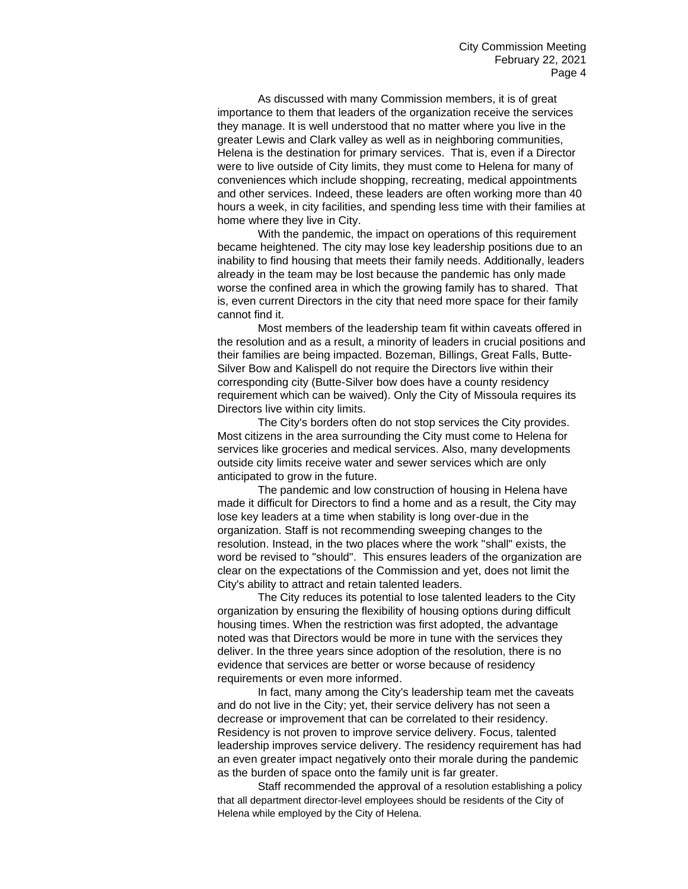As discussed with many Commission members, it is of great importance to them that leaders of the organization receive the services they manage. It is well understood that no matter where you live in the greater Lewis and Clark valley as well as in neighboring communities, Helena is the destination for primary services. That is, even if a Director were to live outside of City limits, they must come to Helena for many of conveniences which include shopping, recreating, medical appointments and other services. Indeed, these leaders are often working more than 40 hours a week, in city facilities, and spending less time with their families at home where they live in City.

With the pandemic, the impact on operations of this requirement became heightened. The city may lose key leadership positions due to an inability to find housing that meets their family needs. Additionally, leaders already in the team may be lost because the pandemic has only made worse the confined area in which the growing family has to shared. That is, even current Directors in the city that need more space for their family cannot find it.

Most members of the leadership team fit within caveats offered in the resolution and as a result, a minority of leaders in crucial positions and their families are being impacted. Bozeman, Billings, Great Falls, Butte-Silver Bow and Kalispell do not require the Directors live within their corresponding city (Butte-Silver bow does have a county residency requirement which can be waived). Only the City of Missoula requires its Directors live within city limits.

The City's borders often do not stop services the City provides. Most citizens in the area surrounding the City must come to Helena for services like groceries and medical services. Also, many developments outside city limits receive water and sewer services which are only anticipated to grow in the future.

The pandemic and low construction of housing in Helena have made it difficult for Directors to find a home and as a result, the City may lose key leaders at a time when stability is long over-due in the organization. Staff is not recommending sweeping changes to the resolution. Instead, in the two places where the work "shall" exists, the word be revised to "should". This ensures leaders of the organization are clear on the expectations of the Commission and yet, does not limit the City's ability to attract and retain talented leaders.

The City reduces its potential to lose talented leaders to the City organization by ensuring the flexibility of housing options during difficult housing times. When the restriction was first adopted, the advantage noted was that Directors would be more in tune with the services they deliver. In the three years since adoption of the resolution, there is no evidence that services are better or worse because of residency requirements or even more informed.

In fact, many among the City's leadership team met the caveats and do not live in the City; yet, their service delivery has not seen a decrease or improvement that can be correlated to their residency. Residency is not proven to improve service delivery. Focus, talented leadership improves service delivery. The residency requirement has had an even greater impact negatively onto their morale during the pandemic as the burden of space onto the family unit is far greater.

Staff recommended the approval of a resolution establishing a policy that all department director-level employees should be residents of the City of Helena while employed by the City of Helena.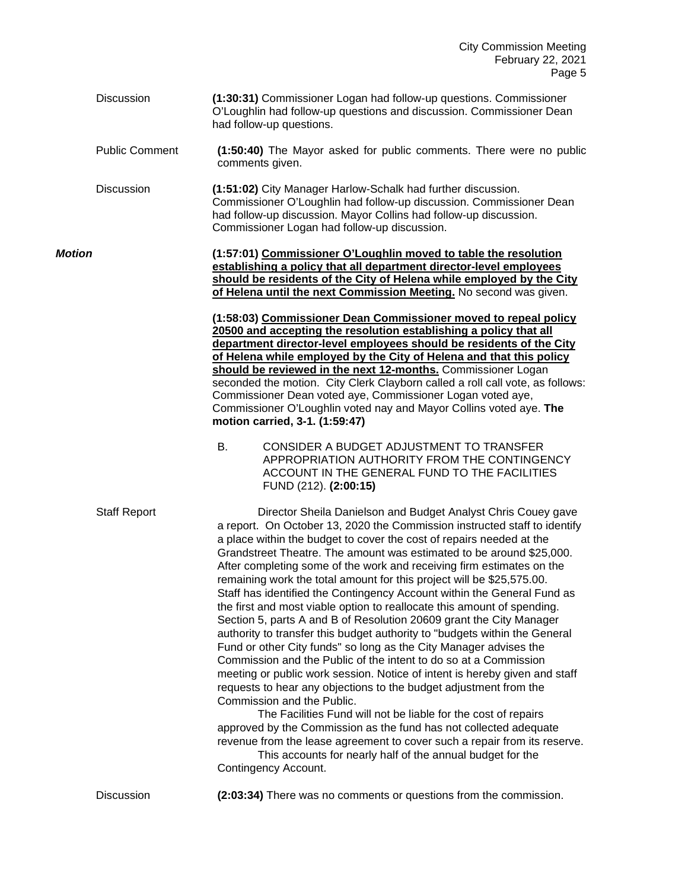Discussion **(1:30:31)** Commissioner Logan had follow-up questions. Commissioner O'Loughlin had follow-up questions and discussion. Commissioner Dean had follow-up questions. Public Comment **(1:50:40)** The Mayor asked for public comments. There were no public comments given. Discussion **(1:51:02)** City Manager Harlow-Schalk had further discussion.

Commissioner O'Loughlin had follow-up discussion. Commissioner Dean had follow-up discussion. Mayor Collins had follow-up discussion. Commissioner Logan had follow-up discussion.

*Motion* **(1:57:01) Commissioner O'Loughlin moved to table the resolution establishing a policy that all department director-level employees should be residents of the City of Helena while employed by the City of Helena until the next Commission Meeting.** No second was given.

> **(1:58:03) Commissioner Dean Commissioner moved to repeal policy 20500 and accepting the resolution establishing a policy that all department director-level employees should be residents of the City of Helena while employed by the City of Helena and that this policy should be reviewed in the next 12-months.** Commissioner Logan seconded the motion. City Clerk Clayborn called a roll call vote, as follows: Commissioner Dean voted aye, Commissioner Logan voted aye, Commissioner O'Loughlin voted nay and Mayor Collins voted aye. **The motion carried, 3-1. (1:59:47)**

B. CONSIDER A BUDGET ADJUSTMENT TO TRANSFER APPROPRIATION AUTHORITY FROM THE CONTINGENCY ACCOUNT IN THE GENERAL FUND TO THE FACILITIES FUND (212). **(2:00:15)**

Staff Report Director Sheila Danielson and Budget Analyst Chris Couey gave a report. On October 13, 2020 the Commission instructed staff to identify a place within the budget to cover the cost of repairs needed at the Grandstreet Theatre. The amount was estimated to be around \$25,000. After completing some of the work and receiving firm estimates on the remaining work the total amount for this project will be \$25,575.00. Staff has identified the Contingency Account within the General Fund as the first and most viable option to reallocate this amount of spending. Section 5, parts A and B of Resolution 20609 grant the City Manager authority to transfer this budget authority to "budgets within the General Fund or other City funds" so long as the City Manager advises the Commission and the Public of the intent to do so at a Commission meeting or public work session. Notice of intent is hereby given and staff requests to hear any objections to the budget adjustment from the Commission and the Public.

The Facilities Fund will not be liable for the cost of repairs approved by the Commission as the fund has not collected adequate revenue from the lease agreement to cover such a repair from its reserve.

This accounts for nearly half of the annual budget for the Contingency Account.

Discussion **(2:03:34)** There was no comments or questions from the commission.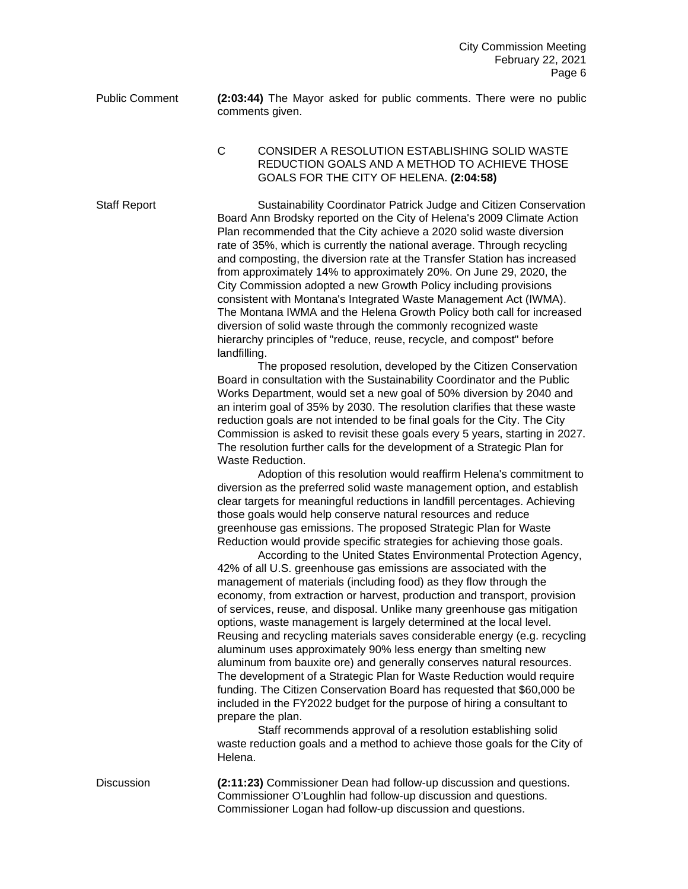Public Comment **(2:03:44)** The Mayor asked for public comments. There were no public comments given.

C CONSIDER A RESOLUTION ESTABLISHING SOLID WASTE REDUCTION GOALS AND A METHOD TO ACHIEVE THOSE GOALS FOR THE CITY OF HELENA. **(2:04:58)**

Staff Report Sustainability Coordinator Patrick Judge and Citizen Conservation Board Ann Brodsky reported on the City of Helena's 2009 Climate Action Plan recommended that the City achieve a 2020 solid waste diversion rate of 35%, which is currently the national average. Through recycling and composting, the diversion rate at the Transfer Station has increased from approximately 14% to approximately 20%. On June 29, 2020, the City Commission adopted a new Growth Policy including provisions consistent with Montana's Integrated Waste Management Act (IWMA). The Montana IWMA and the Helena Growth Policy both call for increased diversion of solid waste through the commonly recognized waste hierarchy principles of "reduce, reuse, recycle, and compost" before landfilling.

> The proposed resolution, developed by the Citizen Conservation Board in consultation with the Sustainability Coordinator and the Public Works Department, would set a new goal of 50% diversion by 2040 and an interim goal of 35% by 2030. The resolution clarifies that these waste reduction goals are not intended to be final goals for the City. The City Commission is asked to revisit these goals every 5 years, starting in 2027. The resolution further calls for the development of a Strategic Plan for Waste Reduction.

> Adoption of this resolution would reaffirm Helena's commitment to diversion as the preferred solid waste management option, and establish clear targets for meaningful reductions in landfill percentages. Achieving those goals would help conserve natural resources and reduce greenhouse gas emissions. The proposed Strategic Plan for Waste Reduction would provide specific strategies for achieving those goals.

> According to the United States Environmental Protection Agency, 42% of all U.S. greenhouse gas emissions are associated with the management of materials (including food) as they flow through the economy, from extraction or harvest, production and transport, provision of services, reuse, and disposal. Unlike many greenhouse gas mitigation options, waste management is largely determined at the local level. Reusing and recycling materials saves considerable energy (e.g. recycling aluminum uses approximately 90% less energy than smelting new aluminum from bauxite ore) and generally conserves natural resources. The development of a Strategic Plan for Waste Reduction would require funding. The Citizen Conservation Board has requested that \$60,000 be included in the FY2022 budget for the purpose of hiring a consultant to prepare the plan.

> Staff recommends approval of a resolution establishing solid waste reduction goals and a method to achieve those goals for the City of Helena.

Discussion **(2:11:23)** Commissioner Dean had follow-up discussion and questions. Commissioner O'Loughlin had follow-up discussion and questions. Commissioner Logan had follow-up discussion and questions.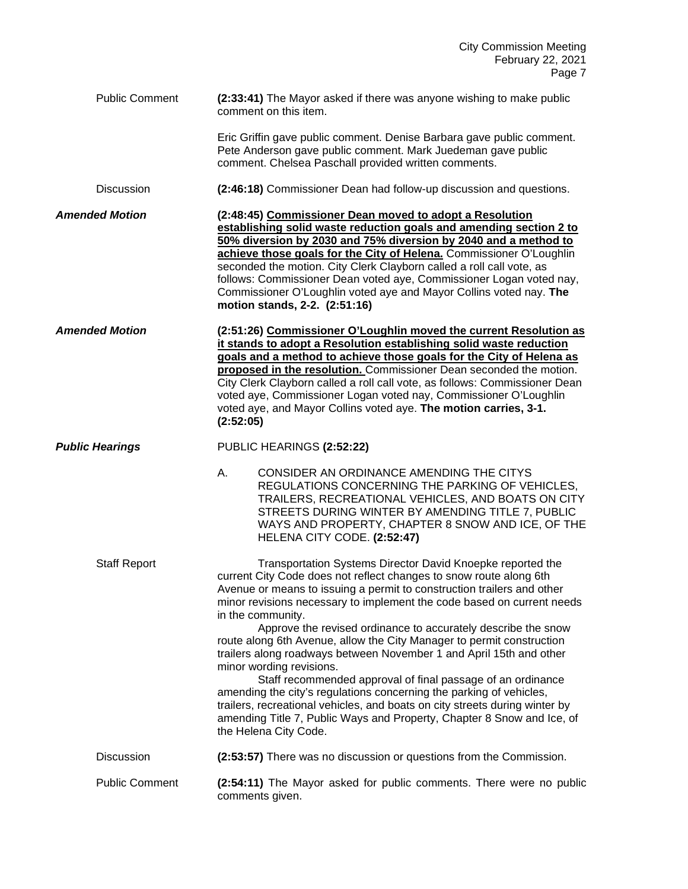| <b>Public Comment</b>  | (2:33:41) The Mayor asked if there was anyone wishing to make public<br>comment on this item.                                                                                                                                                                                                                                                                                                                                                                                                                                                                                                                                                                                                                                                                                                                                                                                  |
|------------------------|--------------------------------------------------------------------------------------------------------------------------------------------------------------------------------------------------------------------------------------------------------------------------------------------------------------------------------------------------------------------------------------------------------------------------------------------------------------------------------------------------------------------------------------------------------------------------------------------------------------------------------------------------------------------------------------------------------------------------------------------------------------------------------------------------------------------------------------------------------------------------------|
|                        | Eric Griffin gave public comment. Denise Barbara gave public comment.<br>Pete Anderson gave public comment. Mark Juedeman gave public<br>comment. Chelsea Paschall provided written comments.                                                                                                                                                                                                                                                                                                                                                                                                                                                                                                                                                                                                                                                                                  |
| Discussion             | (2:46:18) Commissioner Dean had follow-up discussion and questions.                                                                                                                                                                                                                                                                                                                                                                                                                                                                                                                                                                                                                                                                                                                                                                                                            |
| <b>Amended Motion</b>  | (2:48:45) Commissioner Dean moved to adopt a Resolution<br>establishing solid waste reduction goals and amending section 2 to<br>50% diversion by 2030 and 75% diversion by 2040 and a method to<br>achieve those goals for the City of Helena. Commissioner O'Loughlin<br>seconded the motion. City Clerk Clayborn called a roll call vote, as<br>follows: Commissioner Dean voted aye, Commissioner Logan voted nay,<br>Commissioner O'Loughlin voted aye and Mayor Collins voted nay. The<br>motion stands, 2-2. (2:51:16)                                                                                                                                                                                                                                                                                                                                                  |
| <b>Amended Motion</b>  | (2:51:26) Commissioner O'Loughlin moved the current Resolution as<br>it stands to adopt a Resolution establishing solid waste reduction<br>goals and a method to achieve those goals for the City of Helena as<br>proposed in the resolution. Commissioner Dean seconded the motion.<br>City Clerk Clayborn called a roll call vote, as follows: Commissioner Dean<br>voted aye, Commissioner Logan voted nay, Commissioner O'Loughlin<br>voted aye, and Mayor Collins voted aye. The motion carries, 3-1.<br>(2:52:05)                                                                                                                                                                                                                                                                                                                                                        |
| <b>Public Hearings</b> | PUBLIC HEARINGS (2:52:22)                                                                                                                                                                                                                                                                                                                                                                                                                                                                                                                                                                                                                                                                                                                                                                                                                                                      |
|                        | CONSIDER AN ORDINANCE AMENDING THE CITYS<br>А.<br>REGULATIONS CONCERNING THE PARKING OF VEHICLES,<br>TRAILERS, RECREATIONAL VEHICLES, AND BOATS ON CITY<br>STREETS DURING WINTER BY AMENDING TITLE 7, PUBLIC<br>WAYS AND PROPERTY, CHAPTER 8 SNOW AND ICE, OF THE<br>HELENA CITY CODE. (2:52:47)                                                                                                                                                                                                                                                                                                                                                                                                                                                                                                                                                                               |
| <b>Staff Report</b>    | Transportation Systems Director David Knoepke reported the<br>current City Code does not reflect changes to snow route along 6th<br>Avenue or means to issuing a permit to construction trailers and other<br>minor revisions necessary to implement the code based on current needs<br>in the community.<br>Approve the revised ordinance to accurately describe the snow<br>route along 6th Avenue, allow the City Manager to permit construction<br>trailers along roadways between November 1 and April 15th and other<br>minor wording revisions.<br>Staff recommended approval of final passage of an ordinance<br>amending the city's regulations concerning the parking of vehicles,<br>trailers, recreational vehicles, and boats on city streets during winter by<br>amending Title 7, Public Ways and Property, Chapter 8 Snow and Ice, of<br>the Helena City Code. |
| Discussion             | (2:53:57) There was no discussion or questions from the Commission.                                                                                                                                                                                                                                                                                                                                                                                                                                                                                                                                                                                                                                                                                                                                                                                                            |
| <b>Public Comment</b>  | (2:54:11) The Mayor asked for public comments. There were no public<br>comments given.                                                                                                                                                                                                                                                                                                                                                                                                                                                                                                                                                                                                                                                                                                                                                                                         |